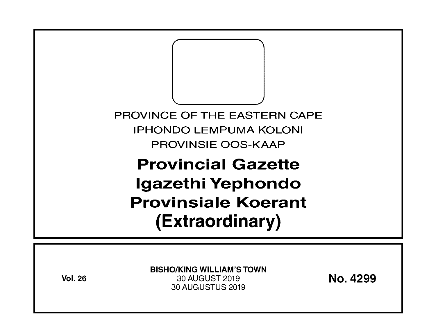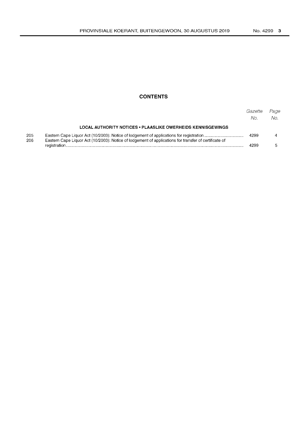## **CONTENTS**

|            |                                                                                                       | Gazette<br>No. | Page<br>No. |
|------------|-------------------------------------------------------------------------------------------------------|----------------|-------------|
|            | LOCAL AUTHORITY NOTICES . PLAASLIKE OWERHEIDS KENNISGEWINGS                                           |                |             |
| 205<br>206 | Eastern Cape Liquor Act (10/2003): Notice of lodgement of applications for transfer of certificate of | 4299           |             |
|            |                                                                                                       | 4299           |             |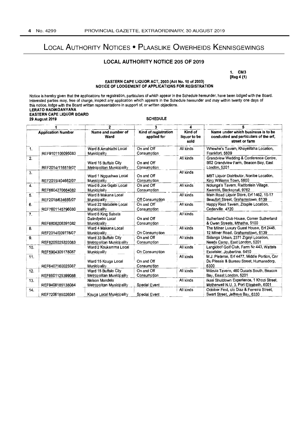# LOCAL AUTHORITY NOTICES • PLAASLIKE OWERHEIDS KENNISGEWINGS

## LOCAL AUTHORITY NOTICE 205 OF 2019

1. CM3 [Reg 4 (1)

#### EASTERN CAPE LIQUOR ACT, 2003 (Act No. 10 of 2003) NOTICE OF LODGEMENT OF APPLICATIONS FOR REGISTRATION

Notice is hereby given that the applications for registration, particulars of which appear in the Schedule hereunder, have been lodged with the Board. Interested parties may, free of charge, inspect any application which appears in the Schedule hereunder and may within twenty one days of this notice, lodge with the Board wrillen representations in support of, or written objections. LERATO RADIKOANYANA EASTERN CAPE LIQUOR BOARD ~\_~~9 ~ro~ ~ \_\_ .. --=-=----t <sup>2</sup>  $\overline{5}$ 

| <b>Application Number</b> |                   | Name and number of<br>Ward                             | Kind of registration<br>applied for | Kind of<br>liquor to be<br>sold | Name under which business is to be<br>conducted and particulars of the erf,<br>street or farm   |  |
|---------------------------|-------------------|--------------------------------------------------------|-------------------------------------|---------------------------------|-------------------------------------------------------------------------------------------------|--|
| 1.                        | REF9101106095083  | Ward 8 Amahlathi Local<br>Municipality                 | On and Off<br>Consumption           | All kinds                       | Whewhe's Tavern, Khayelitsha Location,<br>Frankfort, 5609                                       |  |
| 2.                        | REF2014/116519/07 | Ward 15 Buffalo City<br>Metropolitan Municipality      | On and Off<br>Consumption           | All kinds                       | Grandview Wedding & Conference Centre,<br>B52 Grandview Farm, Beacon Bay, East<br>London, 5201  |  |
| 3.                        | REF2015/404662/07 | Ward 1 Ngqushwa Local<br>Municipality                  | On and Off<br>Consumption           | All kinds                       | MBT Liquor Distributor, Nonibe Location,<br>King Williams Town, 5600                            |  |
| 4.                        | REF6604270664082  | Ward 6 Joe Gqabi Local<br>Municiplaity                 | On and Off<br>Consumption           | All kinds                       | Nolunga's Tavern, Rietfontein Village,<br>Kwarobi, Sterkspruit, 9762                            |  |
| 5.                        | REF2018/634685/07 | Ward 8 Makana Local<br>Municipality                    | Off Consumption                     | All kinds                       | Main Road Liquor Store, Erf 1462, 15-17<br>Beaufort Street, Grahamstown. 6139                   |  |
| 6.                        | REF7601145796080  | Ward 22 Matatiele Local<br>Municipality                | On and Off<br>Consumption           | All kinds                       | Happy Rest Tavem, Zitapile Location,<br>Cedarville, 4720                                        |  |
| 7.                        | REF6806206391082  | Ward 6 King Sabata<br>Dalindyebo Local<br>Municipality | On and Off<br>Consumption           | All kinds                       | Sutherland Club House, Corner Sutherland<br>& Owen Streets, Mthatha, 5100                       |  |
| 8.                        | REF2014/009778/07 | Ward 4 Makana Local<br><b>Municipality</b>             | On Consumption                      | All kinds                       | The Milner Luxury Guest House, Erf 2445,<br>12 Milner Road, Grahamstown, 6139                   |  |
| 9.                        | REF8205025320083  | Ward 33 Buffalo City<br>Metropolitan Municipality      | On and Off<br>Consumption           | All kinds                       | Sidanga Urban, 2371 Zigayi Location,<br>Needs Camp, East London, 5201                           |  |
| 10.                       | REF5904305178087  | Ward 2 Koukamma Local<br>Municipality                  | On Consumption                      | All kinds                       | Langkloof Golf Club, Farm Nr 443, Wattels<br>Excelsier, Joubertina, 6410                        |  |
| 11.                       | REF6407160025087  | Ward 15 Kouga Local<br>Municipality                    | On and Off<br>Consumption           | All kinds                       | M.J. Pieterse, Erf 4477, Middle Portion, Cnr<br>Du Plessis & Bureau Street, Humansdorp,<br>6300 |  |
| 12.                       | REF6601125399088  | Ward 15 Buffalo City<br>Metropolitan Municipality      | On and Off<br>Consumption           | All kinds                       | Mdzula Tavern, 460 Ducats South, Beacon<br>Bay, Eeast London, 5201                              |  |
| 13.                       | REF9408185138084  | Nelson Mandela<br>Metropolitan Municipality            | Special Event                       | All kinds                       | Ikasi Shutdown Experience, 1 Khozi Street,<br>Motherwell N.U. 3, Port Elizabeth, 6001           |  |
| 14.                       | REF7206185026081  | Kouga Local Municipality                               | Special Event                       | All kinds                       | October Fest, c/o Diaz & Ferreira Street,<br>Swart Street, Jeffreys Bay, 6330                   |  |